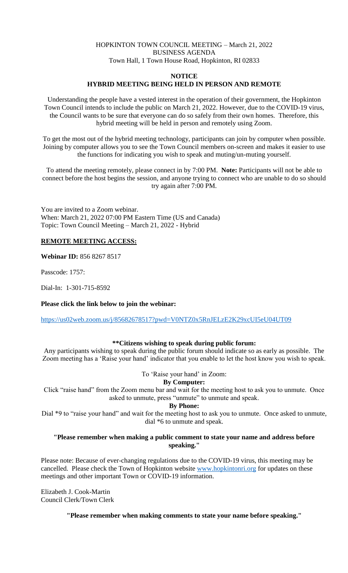# HOPKINTON TOWN COUNCIL MEETING – March 21, 2022 BUSINESS AGENDA Town Hall, 1 Town House Road, Hopkinton, RI 02833

#### **NOTICE**

## **HYBRID MEETING BEING HELD IN PERSON AND REMOTE**

Understanding the people have a vested interest in the operation of their government, the Hopkinton Town Council intends to include the public on March 21, 2022. However, due to the COVID-19 virus, the Council wants to be sure that everyone can do so safely from their own homes. Therefore, this hybrid meeting will be held in person and remotely using Zoom.

To get the most out of the hybrid meeting technology, participants can join by computer when possible. Joining by computer allows you to see the Town Council members on-screen and makes it easier to use the functions for indicating you wish to speak and muting/un-muting yourself.

To attend the meeting remotely, please connect in by 7:00 PM. **Note:** Participants will not be able to connect before the host begins the session, and anyone trying to connect who are unable to do so should try again after 7:00 PM.

You are invited to a Zoom webinar. When: March 21, 2022 07:00 PM Eastern Time (US and Canada) Topic: Town Council Meeting – March 21, 2022 - Hybrid

#### **REMOTE MEETING ACCESS:**

**Webinar ID:** 856 8267 8517

Passcode: 1757:

Dial-In: 1-301-715-8592

**Please click the link below to join the webinar:**

<https://us02web.zoom.us/j/85682678517?pwd=V0NTZ0x5RnJELzE2K29xcUI5eU04UT09>

## **\*\*Citizens wishing to speak during public forum:**

Any participants wishing to speak during the public forum should indicate so as early as possible. The Zoom meeting has a 'Raise your hand' indicator that you enable to let the host know you wish to speak.

To 'Raise your hand' in Zoom:

## **By Computer:**

Click "raise hand" from the Zoom menu bar and wait for the meeting host to ask you to unmute. Once asked to unmute, press "unmute" to unmute and speak.

# **By Phone:**

Dial \*9 to "raise your hand" and wait for the meeting host to ask you to unmute. Once asked to unmute, dial \*6 to unmute and speak.

#### **"Please remember when making a public comment to state your name and address before speaking."**

Please note: Because of ever-changing regulations due to the COVID-19 virus, this meeting may be cancelled. Please check the Town of Hopkinton website [www.hopkintonri.org](http://www.hopkintonri.org/) for updates on these meetings and other important Town or COVID-19 information.

Elizabeth J. Cook-Martin Council Clerk/Town Clerk

**"Please remember when making comments to state your name before speaking."**